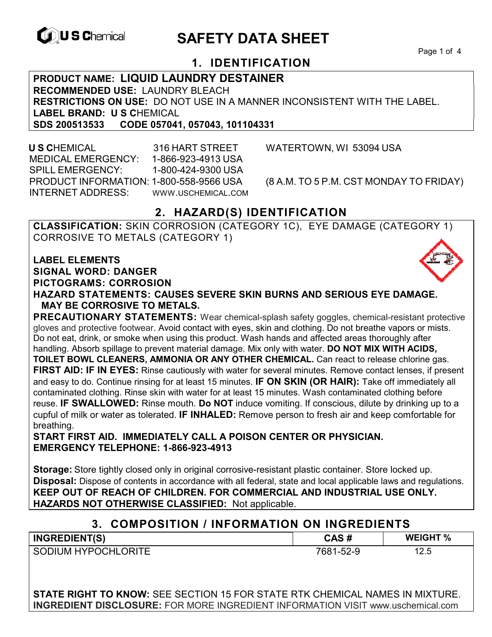

# **EXAGREM** SAFETY DATA SHEET

Page 1 of 4

## **1. IDENTIFICATION**

**PRODUCT NAME: LIQUID LAUNDRY DESTAINER RECOMMENDED USE:** LAUNDRY BLEACH **RESTRICTIONS ON USE:** DO NOT USE IN A MANNER INCONSISTENT WITH THE LABEL. **LABEL BRAND: U S CHEMICAL SDS 200513533 CODE 057041 SDS 200513533 CODE 057041, 057043, 101104331** 

 **U S C**HEMICAL 316 HART STREET WATERTOWN, WI 53094 USA MEDICAL EMERGENCY: 1-866-923-4913 USA SPILL EMERGENCY: 1-800-424-9300 USA PRODUCT INFORMATION: 1-800-558-9566 USA (8 A.M. TO 5 P.M. CST MONDAY TO FRIDAY) INTERNET ADDRESS: WWW.USCHEMICAL.COM

## **2. HAZARD(S) IDENTIFICATION**

**CLASSIFICATION:** SKIN CORROSION (CATEGORY 1C), EYE DAMAGE (CATEGORY 1) CORROSIVE TO METALS (CATEGORY 1)

**LABEL ELEMENTS SIGNAL WORD: DANGER PICTOGRAMS: CORROSION**



**HAZARD STATEMENTS: CAUSES SEVERE SKIN BURNS AND SERIOUS EYE DAMAGE. MAY BE CORROSIVE TO METALS.** 

**PRECAUTIONARY STATEMENTS:** Wear chemical-splash safety goggles, chemical-resistant protective gloves and protective footwear. Avoid contact with eyes, skin and clothing. Do not breathe vapors or mists. Do not eat, drink, or smoke when using this product. Wash hands and affected areas thoroughly after handling. Absorb spillage to prevent material damage. Mix only with water. **DO NOT MIX WITH ACIDS, TOILET BOWL CLEANERS, AMMONIA OR ANY OTHER CHEMICAL.** Can react to release chlorine gas. **FIRST AID: IF IN EYES:** Rinse cautiously with water for several minutes. Remove contact lenses, if present and easy to do. Continue rinsing for at least 15 minutes. **IF ON SKIN (OR HAIR):** Take off immediately all contaminated clothing. Rinse skin with water for at least 15 minutes. Wash contaminated clothing before reuse. **IF SWALLOWED:** Rinse mouth. **Do NOT** induce vomiting. If conscious, dilute by drinking up to a cupful of milk or water as tolerated. **IF INHALED:** Remove person to fresh air and keep comfortable for breathing.

**START FIRST AID. IMMEDIATELY CALL A POISON CENTER OR PHYSICIAN. EMERGENCY TELEPHONE: 1-866-923-4913** 

**Storage:** Store tightly closed only in original corrosive-resistant plastic container. Store locked up. **Disposal:** Dispose of contents in accordance with all federal, state and local applicable laws and regulations. **KEEP OUT OF REACH OF CHILDREN. FOR COMMERCIAL AND INDUSTRIAL USE ONLY. HAZARDS NOT OTHERWISE CLASSIFIED:** Not applicable.

### **3. COMPOSITION / INFORMATION ON INGREDIENTS**

| <b>INGREDIENT(S)</b>       | CAS#      | <b>WEIGHT %</b> |
|----------------------------|-----------|-----------------|
| <b>SODIUM HYPOCHLORITE</b> | 7681-52-9 | 12.5            |

**STATE RIGHT TO KNOW:** SEE SECTION 15 FOR STATE RTK CHEMICAL NAMES IN MIXTURE. **INGREDIENT DISCLOSURE:** FOR MORE INGREDIENT INFORMATION VISIT www.uschemical.com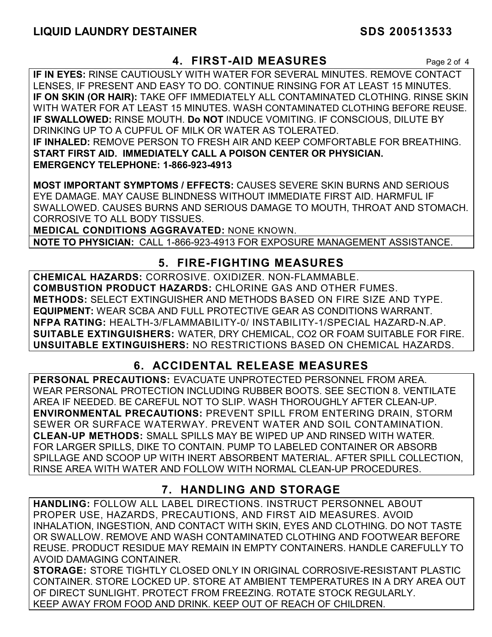## **4. FIRST-AID MEASURES** Page 2 of 4

**IF IN EYES:** RINSE CAUTIOUSLY WITH WATER FOR SEVERAL MINUTES. REMOVE CONTACT LENSES, IF PRESENT AND EASY TO DO. CONTINUE RINSING FOR AT LEAST 15 MINUTES. **IF ON SKIN (OR HAIR):** TAKE OFF IMMEDIATELY ALL CONTAMINATED CLOTHING. RINSE SKIN WITH WATER FOR AT LEAST 15 MINUTES. WASH CONTAMINATED CLOTHING BEFORE REUSE. **IF SWALLOWED:** RINSE MOUTH. **Do NOT** INDUCE VOMITING. IF CONSCIOUS, DILUTE BY DRINKING UP TO A CUPFUL OF MILK OR WATER AS TOLERATED. **IF INHALED:** REMOVE PERSON TO FRESH AIR AND KEEP COMFORTABLE FOR BREATHING. **START FIRST AID. IMMEDIATELY CALL A POISON CENTER OR PHYSICIAN. EMERGENCY TELEPHONE: 1-866-923-4913**

**MOST IMPORTANT SYMPTOMS / EFFECTS:** CAUSES SEVERE SKIN BURNS AND SERIOUS EYE DAMAGE. MAY CAUSE BLINDNESS WITHOUT IMMEDIATE FIRST AID. HARMFUL IF SWALLOWED. CAUSES BURNS AND SERIOUS DAMAGE TO MOUTH, THROAT AND STOMACH. CORROSIVE TO ALL BODY TISSUES.

**MEDICAL CONDITIONS AGGRAVATED:** NONE KNOWN.

**NOTE TO PHYSICIAN:** CALL 1-866-923-4913 FOR EXPOSURE MANAGEMENT ASSISTANCE.

## **5. FIRE-FIGHTING MEASURES**

**CHEMICAL HAZARDS:** CORROSIVE. OXIDIZER. NON-FLAMMABLE. **COMBUSTION PRODUCT HAZARDS:** CHLORINE GAS AND OTHER FUMES. **METHODS:** SELECT EXTINGUISHER AND METHODS BASED ON FIRE SIZE AND TYPE. **EQUIPMENT:** WEAR SCBA AND FULL PROTECTIVE GEAR AS CONDITIONS WARRANT. **NFPA RATING:** HEALTH-3/FLAMMABILITY-0/ INSTABILITY-1/SPECIAL HAZARD-N.AP. **SUITABLE EXTINGUISHERS:** WATER, DRY CHEMICAL, CO2 OR FOAM SUITABLE FOR FIRE. **UNSUITABLE EXTINGUISHERS:** NO RESTRICTIONS BASED ON CHEMICAL HAZARDS.

## **6. ACCIDENTAL RELEASE MEASURES**

**PERSONAL PRECAUTIONS:** EVACUATE UNPROTECTED PERSONNEL FROM AREA. WEAR PERSONAL PROTECTION INCLUDING RUBBER BOOTS. SEE SECTION 8. VENTILATE AREA IF NEEDED. BE CAREFUL NOT TO SLIP. WASH THOROUGHLY AFTER CLEAN-UP. **ENVIRONMENTAL PRECAUTIONS:** PREVENT SPILL FROM ENTERING DRAIN, STORM SEWER OR SURFACE WATERWAY. PREVENT WATER AND SOIL CONTAMINATION. **CLEAN-UP METHODS:** SMALL SPILLS MAY BE WIPED UP AND RINSED WITH WATER. FOR LARGER SPILLS, DIKE TO CONTAIN. PUMP TO LABELED CONTAINER OR ABSORB SPILLAGE AND SCOOP UP WITH INERT ABSORBENT MATERIAL. AFTER SPILL COLLECTION, RINSE AREA WITH WATER AND FOLLOW WITH NORMAL CLEAN-UP PROCEDURES.

## **7. HANDLING AND STORAGE**

**HANDLING:** FOLLOW ALL LABEL DIRECTIONS. INSTRUCT PERSONNEL ABOUT PROPER USE, HAZARDS, PRECAUTIONS, AND FIRST AID MEASURES. AVOID INHALATION, INGESTION, AND CONTACT WITH SKIN, EYES AND CLOTHING. DO NOT TASTE OR SWALLOW. REMOVE AND WASH CONTAMINATED CLOTHING AND FOOTWEAR BEFORE REUSE. PRODUCT RESIDUE MAY REMAIN IN EMPTY CONTAINERS. HANDLE CAREFULLY TO AVOID DAMAGING CONTAINER.

**STORAGE:** STORE TIGHTLY CLOSED ONLY IN ORIGINAL CORROSIVE-RESISTANT PLASTIC CONTAINER. STORE LOCKED UP. STORE AT AMBIENT TEMPERATURES IN A DRY AREA OUT OF DIRECT SUNLIGHT. PROTECT FROM FREEZING. ROTATE STOCK REGULARLY. KEEP AWAY FROM FOOD AND DRINK. KEEP OUT OF REACH OF CHILDREN.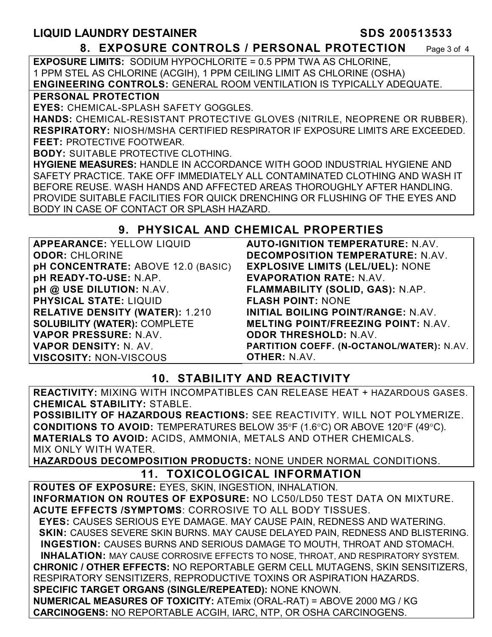# **LIQUID LAUNDRY DESTAINER SDS 200513533**

**8. EXPOSURE CONTROLS / PERSONAL PROTECTION** Page 3 of 4

**EXPOSURE LIMITS:** SODIUM HYPOCHLORITE = 0.5 PPM TWA AS CHLORINE, 1 PPM STEL AS CHLORINE (ACGIH), 1 PPM CEILING LIMIT AS CHLORINE (OSHA) **ENGINEERING CONTROLS:** GENERAL ROOM VENTILATION IS TYPICALLY ADEQUATE.

#### **PERSONAL PROTECTION**

**EYES:** CHEMICAL-SPLASH SAFETY GOGGLES.

**HANDS:** CHEMICAL-RESISTANT PROTECTIVE GLOVES (NITRILE, NEOPRENE OR RUBBER). **RESPIRATORY:** NIOSH/MSHA CERTIFIED RESPIRATOR IF EXPOSURE LIMITS ARE EXCEEDED. **FEET:** PROTECTIVE FOOTWEAR.

**BODY:** SUITABLE PROTECTIVE CLOTHING.

**HYGIENE MEASURES:** HANDLE IN ACCORDANCE WITH GOOD INDUSTRIAL HYGIENE AND SAFETY PRACTICE. TAKE OFF IMMEDIATELY ALL CONTAMINATED CLOTHING AND WASH IT BEFORE REUSE. WASH HANDS AND AFFECTED AREAS THOROUGHLY AFTER HANDLING. PROVIDE SUITABLE FACILITIES FOR QUICK DRENCHING OR FLUSHING OF THE EYES AND BODY IN CASE OF CONTACT OR SPLASH HAZARD.

### **9. PHYSICAL AND CHEMICAL PROPERTIES**

| <b>APPEARANCE: YELLOW LIQUID</b>          | <b>AUTO-IGNITION TEMPERATURE: N.AV.</b>    |
|-------------------------------------------|--------------------------------------------|
| <b>ODOR: CHLORINE</b>                     | <b>DECOMPOSITION TEMPERATURE: N.AV.</b>    |
| <b>pH CONCENTRATE: ABOVE 12.0 (BASIC)</b> | <b>EXPLOSIVE LIMITS (LEL/UEL): NONE</b>    |
| pH READY-TO-USE: N.AP.                    | <b>EVAPORATION RATE: N.AV.</b>             |
| pH @ USE DILUTION: N.AV.                  | FLAMMABILITY (SOLID, GAS): N.AP.           |
| <b>PHYSICAL STATE: LIQUID</b>             | <b>FLASH POINT: NONE</b>                   |
| <b>RELATIVE DENSITY (WATER): 1.210</b>    | <b>INITIAL BOILING POINT/RANGE: N.AV.</b>  |
| <b>SOLUBILITY (WATER): COMPLETE</b>       | <b>MELTING POINT/FREEZING POINT: N.AV.</b> |
| VAPOR PRESSURE: N.AV.                     | <b>ODOR THRESHOLD: N.AV.</b>               |
| VAPOR DENSITY: N. AV.                     | PARTITION COEFF. (N-OCTANOL/WATER): N.AV.  |
| <b>VISCOSITY: NON-VISCOUS</b>             | <b>OTHER: N.AV.</b>                        |

## **10. STABILITY AND REACTIVITY**

**REACTIVITY:** MIXING WITH INCOMPATIBLES CAN RELEASE HEAT + HAZARDOUS GASES. **CHEMICAL STABILITY:** STABLE.

**POSSIBILITY OF HAZARDOUS REACTIONS:** SEE REACTIVITY. WILL NOT POLYMERIZE. **CONDITIONS TO AVOID:** TEMPERATURES BELOW 35°F (1.6°C) OR ABOVE 120°F (49°C). **MATERIALS TO AVOID:** ACIDS, AMMONIA, METALS AND OTHER CHEMICALS. MIX ONLY WITH WATER.

**HAZARDOUS DECOMPOSITION PRODUCTS:** NONE UNDER NORMAL CONDITIONS.

## **11. TOXICOLOGICAL INFORMATION**

**ROUTES OF EXPOSURE:** EYES, SKIN, INGESTION, INHALATION. **INFORMATION ON ROUTES OF EXPOSURE:** NO LC50/LD50 TEST DATA ON MIXTURE. **ACUTE EFFECTS /SYMPTOMS**: CORROSIVE TO ALL BODY TISSUES.

 **EYES:** CAUSES SERIOUS EYE DAMAGE. MAY CAUSE PAIN, REDNESS AND WATERING.  **SKIN:** CAUSES SEVERE SKIN BURNS. MAY CAUSE DELAYED PAIN, REDNESS AND BLISTERING. **INGESTION:** CAUSES BURNS AND SERIOUS DAMAGE TO MOUTH, THROAT AND STOMACH. **INHALATION:** MAY CAUSE CORROSIVE EFFECTS TO NOSE, THROAT, AND RESPIRATORY SYSTEM. **CHRONIC / OTHER EFFECTS:** NO REPORTABLE GERM CELL MUTAGENS, SKIN SENSITIZERS, RESPIRATORY SENSITIZERS, REPRODUCTIVE TOXINS OR ASPIRATION HAZARDS. **SPECIFIC TARGET ORGANS (SINGLE/REPEATED):** NONE KNOWN. **NUMERICAL MEASURES OF TOXICITY:** ATEmix (ORAL-RAT) = ABOVE 2000 MG / KG

**CARCINOGENS:** NO REPORTABLE ACGIH, IARC, NTP, OR OSHA CARCINOGENS.